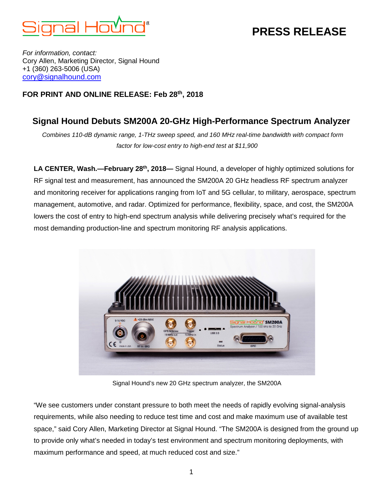

## **PRESS RELEASE**

*For information, contact:* Cory Allen, Marketing Director, Signal Hound +1 (360) 263-5006 (USA) [cory@signalhound.com](mailto:cory@signalhound.com)

### **FOR PRINT AND ONLINE RELEASE: Feb 28th, 2018**

### **Signal Hound Debuts SM200A 20-GHz High-Performance Spectrum Analyzer**

*Combines 110-dB dynamic range, 1-THz sweep speed, and 160 MHz real-time bandwidth with compact form factor for low-cost entry to high-end test at \$11,900*

**LA CENTER, Wash.—February 28th, 2018—** Signal Hound, a developer of highly optimized solutions for RF signal test and measurement, has announced the SM200A 20 GHz headless RF spectrum analyzer and monitoring receiver for applications ranging from IoT and 5G cellular, to military, aerospace, spectrum management, automotive, and radar. Optimized for performance, flexibility, space, and cost, the SM200A lowers the cost of entry to high-end spectrum analysis while delivering precisely what's required for the most demanding production-line and spectrum monitoring RF analysis applications.



Signal Hound's new 20 GHz spectrum analyzer, the SM200A

"We see customers under constant pressure to both meet the needs of rapidly evolving signal-analysis requirements, while also needing to reduce test time and cost and make maximum use of available test space," said Cory Allen, Marketing Director at Signal Hound. "The SM200A is designed from the ground up to provide only what's needed in today's test environment and spectrum monitoring deployments, with maximum performance and speed, at much reduced cost and size."